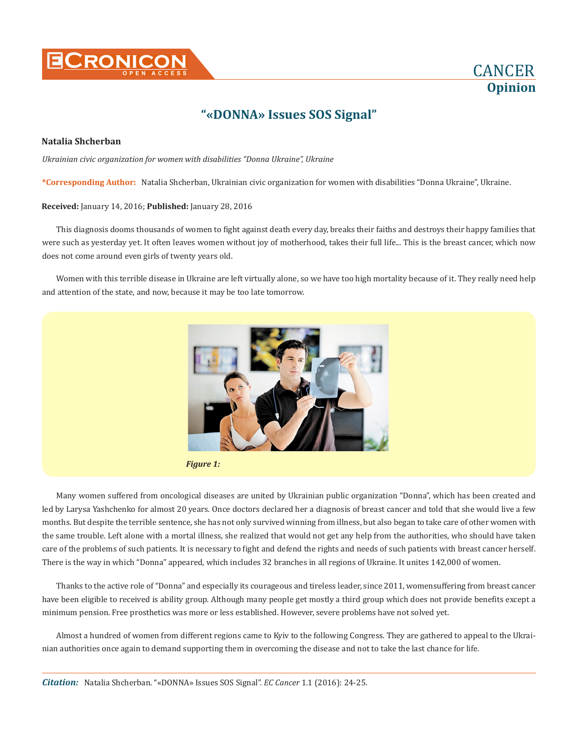



## **"«DONNA» Issues SOS Signal"**

## **Natalia Shcherban**

*Ukrainian civic organization for women with disabilities "Donna Ukraine", Ukraine*

**\*Corresponding Author:** Natalia Shcherban, Ukrainian civic organization for women with disabilities "Donna Ukraine", Ukraine.

## **Received:** January 14, 2016; **Published:** January 28, 2016

This diagnosis dooms thousands of women to fight against death every day, breaks their faiths and destroys their happy families that were such as yesterday yet. It often leaves women without joy of motherhood, takes their full life... This is the breast cancer, which now does not come around even girls of twenty years old.

Women with this terrible disease in Ukraine are left virtually alone, so we have too high mortality because of it. They really need help and attention of the state, and now, because it may be too late tomorrow.



*Figure 1:*

Many women suffered from oncological diseases are united by Ukrainian public organization "Donna", which has been created and led by Larysa Yashchenko for almost 20 years. Once doctors declared her a diagnosis of breast cancer and told that she would live a few months. But despite the terrible sentence, she has not only survived winning from illness, but also began to take care of other women with the same trouble. Left alone with a mortal illness, she realized that would not get any help from the authorities, who should have taken care of the problems of such patients. It is necessary to fight and defend the rights and needs of such patients with breast cancer herself. There is the way in which "Donna" appeared, which includes 32 branches in all regions of Ukraine. It unites 142,000 of women.

Thanks to the active role of "Donna" and especially its courageous and tireless leader, since 2011, womensuffering from breast cancer have been eligible to received is ability group. Although many people get mostly a third group which does not provide benefits except a minimum pension. Free prosthetics was more or less established. However, severe problems have not solved yet.

Almost a hundred of women from different regions came to Kyiv to the following Congress. They are gathered to appeal to the Ukrainian authorities once again to demand supporting them in overcoming the disease and not to take the last chance for life.